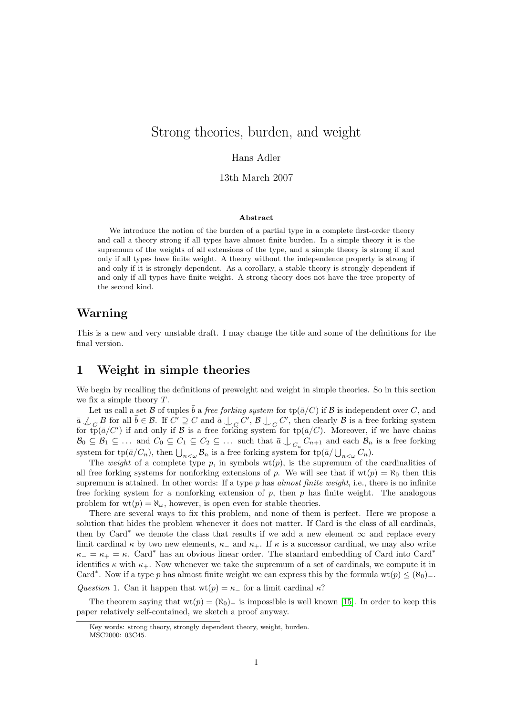# Strong theories, burden, and weight

#### Hans Adler

13th March 2007

#### Abstract

We introduce the notion of the burden of a partial type in a complete first-order theory and call a theory strong if all types have almost finite burden. In a simple theory it is the supremum of the weights of all extensions of the type, and a simple theory is strong if and only if all types have finite weight. A theory without the independence property is strong if and only if it is strongly dependent. As a corollary, a stable theory is strongly dependent if and only if all types have finite weight. A strong theory does not have the tree property of the second kind.

# Warning

This is a new and very unstable draft. I may change the title and some of the definitions for the final version.

### 1 Weight in simple theories

We begin by recalling the definitions of preweight and weight in simple theories. So in this section we fix a simple theory T.

Let us call a set B of tuples  $\bar{b}$  a free forking system for  $\text{tp}(\bar{a}/C)$  if B is independent over C, and  $\overline{a} \nsubseteq C$  B for all  $\overline{b} \in \mathcal{B}$ . If  $C' \supseteq C$  and  $\overline{a} \bigcup_{\substack{C \subset C'}} C'$ ,  $\mathcal{B} \bigcup_{\substack{C \subset C'}} C'$ , then clearly  $\mathcal{B}$  is a free forking system for tp( $\bar{a}/C'$ ) if and only if  $\mathcal B$  is a free forking system for tp( $\bar{a}/C$ ). Moreover, if we have chains  $\mathcal{B}_0 \subseteq \mathcal{B}_1 \subseteq \ldots$  and  $C_0 \subseteq C_1 \subseteq C_2 \subseteq \ldots$  such that  $\bar{a} \bigcup_{C_n} C_{n+1}$  and each  $\mathcal{B}_n$  is a free forking system for  $\text{tp}(\bar{a}/C_n)$ , then  $\bigcup_{n<\omega} \mathcal{B}_n$  is a free forking system for  $\text{tp}(\bar{a}/\bigcup_{n<\omega} C_n)$ .

The weight of a complete type p, in symbols  $wt(p)$ , is the supremum of the cardinalities of all free forking systems for nonforking extensions of p. We will see that if  $wt(p) = \aleph_0$  then this supremum is attained. In other words: If a type  $p$  has *almost finite weight*, i.e., there is no infinite free forking system for a nonforking extension of  $p$ , then  $p$  has finite weight. The analogous problem for  $wt(p) = \aleph_{\omega}$ , however, is open even for stable theories.

There are several ways to fix this problem, and none of them is perfect. Here we propose a solution that hides the problem whenever it does not matter. If Card is the class of all cardinals, then by Card<sup>∗</sup> we denote the class that results if we add a new element  $\infty$  and replace every limit cardinal  $\kappa$  by two new elements,  $\kappa_+$  and  $\kappa_+$ . If  $\kappa$  is a successor cardinal, we may also write  $\kappa_-=\kappa_+ = \kappa$ . Card<sup>\*</sup> has an obvious linear order. The standard embedding of Card into Card<sup>\*</sup> identifies  $\kappa$  with  $\kappa_+$ . Now whenever we take the supremum of a set of cardinals, we compute it in Card<sup>∗</sup>. Now if a type p has almost finite weight we can express this by the formula wt(p)  $\leq (\aleph_0)$ .

Question 1. Can it happen that  $wt(p) = \kappa$  for a limit cardinal  $\kappa$ ?

The theorem saying that  $wt(p) = (N_0)_-$  is impossible is well known [\[15\]](#page-7-0). In order to keep this paper relatively self-contained, we sketch a proof anyway.

Key words: strong theory, strongly dependent theory, weight, burden.

MSC2000: 03C45.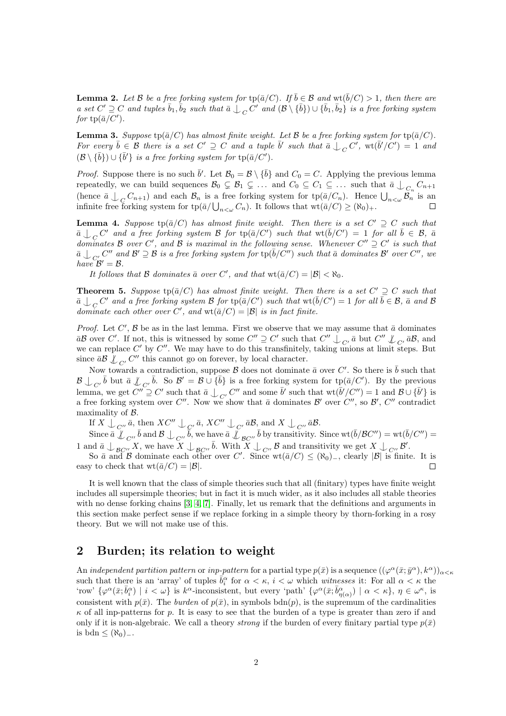**Lemma 2.** Let B be a free forking system for  $tp(\bar{a}/C)$ . If  $\bar{b} \in \mathcal{B}$  and  $wt(\bar{b}/C) > 1$ , then there are  $a \text{ set } C' \supseteq C$  and tuples  $\bar{b}_1, \bar{b}_2$  such that  $\bar{a} \bigcup_C C'$  and  $(\mathcal{B} \setminus {\bar{b}}) \cup {\bar{b}_1, \bar{b}_2}$  is a free forking system for  $tp(\bar{a}/C')$ .

**Lemma 3.** Suppose tp( $\bar{a}/C$ ) has almost finite weight. Let B be a free forking system for tp( $\bar{a}/C$ ). For every  $\bar{b} \in \mathcal{B}$  there is a set  $C' \supseteq C$  and a tuple  $\bar{b}'$  such that  $\bar{a} \bigcup_C C'$ ,  $\text{wt}(\bar{b}'/C') = 1$  and  $(\mathcal{B} \setminus {\bar{b}}) \cup {\bar{b}}'$  is a free forking system for  $tp({\bar{a}}/C')$ .

*Proof.* Suppose there is no such  $\bar{b}'$ . Let  $\mathcal{B}_0 = \mathcal{B} \setminus {\bar{b}}$  and  $C_0 = C$ . Applying the previous lemma repeatedly, we can build sequences  $\mathcal{B}_0 \subsetneq \mathcal{B}_1 \subsetneq \ldots$  and  $C_0 \subsetneq C_1 \subsetneq \ldots$  such that  $\bar{a} \downarrow_{C_n} C_{n+1}$ (hence  $\bar{a} \nightharpoonup_{C} C_{n+1}$ ) and each  $\mathcal{B}_n$  is a free forking system for  $\text{tp}(\bar{a}/C_n)$ . Hence  $\bigcup_{n<\omega} \mathcal{B}_n$  is an infinite free forking system for  $\text{tp}(\bar{a}/\bigcup_{n<\omega}C_n)$ . It follows that  $\text{wt}(\bar{a}/C)\geq (\aleph_0)_+.$ 

**Lemma 4.** Suppose  $tp(\bar{a}/C)$  has almost finite weight. Then there is a set  $C' \supseteq C$  such that  $\overline{a} \perp_C C'$  and a free forking system B for  $tp(\overline{a}/C')$  such that  $wt(\overline{b}/C') = 1$  for all  $\overline{b} \in \mathcal{B}$ ,  $\overline{a}$ dominates B over C', and B is maximal in the following sense. Whenever  $C'' \supseteq C'$  is such that  $\overline{a}\bigcup_{C_{\bullet}'} C''$  and  $\mathcal{B}' \supseteq \mathcal{B}$  is a free forking system for  $\text{tp}(\overline{b}/\overline{C}'')$  such that  $\overline{a}$  dominates  $\mathcal{B}'$  over  $C''$ , we have  $\mathcal{B}' = \mathcal{B}$ .

It follows that B dominates  $\bar{a}$  over C', and that  $wt(\bar{a}/C) = |\mathcal{B}| < \aleph_0$ .

**Theorem 5.** Suppose  $tp(\bar{a}/C)$  has almost finite weight. Then there is a set  $C' \supseteq C$  such that  $\bar{a}\perp_C C'$  and a free forking system B for  $tp(\bar{a}/C')$  such that  $wt(\bar{b}/C') = 1$  for all  $\bar{b} \in \mathcal{B}$ ,  $\bar{a}$  and B dominate each other over C', and  $\text{wt}(\bar{a}/C) = |\mathcal{B}|$  is in fact finite.

*Proof.* Let C',  $\beta$  be as in the last lemma. First we observe that we may assume that  $\bar{a}$  dominates  $\overline{a}\mathcal{B}$  over C'. If not, this is witnessed by some  $C'' \supseteq C'$  such that  $C'' \bigcup_{C'} \overline{a}$  but  $C'' \bigcup_{C'} \overline{a}\mathcal{B}$ , and we can replace  $C'$  by  $C''$ . We may have to do this transfinitely, taking unions at limit steps. But since  $\bar{a}\mathcal{B} \not\subset_{C'} C''$  this cannot go on forever, by local character.

Now towards a contradiction, suppose  $\mathcal B$  does not dominate  $\bar a$  over  $C'$ . So there is  $\bar b$  such that  $\mathcal{B}\perp_{C'}\bar{b}$  but  $\bar{a}\not\perp_{C'}\bar{b}$ . So  $\mathcal{B}'=\mathcal{B}\cup\{\bar{b}\}\$ is a free forking system for tp $(\bar{a}/C')$ . By the previous lemma, we get  $C'' \supseteq C'$  such that  $\bar{a} \perp_{C'} C''$  and some  $\bar{b}'$  such that  $\text{wt}(\bar{b}' / C'') = 1$  and  $\mathcal{B} \cup {\bar{b}'}$  is a free forking system over C''. Now we show that  $\bar{a}$  dominates  $\mathcal{B}'$  over C'', so  $\mathcal{B}', C''$  contradict maximality of B.

If  $X\bigcup_{C''}\bar{a}$ , then  $XC''\bigcup_{C'}\bar{a}$ ,  $XC''\bigcup_{C'}\bar{a}\mathcal{B}$ , and  $X\bigcup_{C''}\bar{a}\mathcal{B}$ .

Since  $\bar{a} \bigcup_{C} \bar{b}$  and  $\mathcal{B} \bigcup_{C} \bar{b}$ , we have  $\bar{a} \bigcup_{B} \bar{b}$  by transitivity. Since  $\text{wt}(\bar{b}/BC'') = \text{wt}(\bar{b}/C'') =$ 1 and  $\bar{a} \perp_{\mathcal{B}C''} X$ , we have  $X \perp_{\mathcal{B}C''} \bar{b}$ . With  $X \perp_{C''} \mathcal{B}$  and transitivity we get  $X \perp_{C''} \mathcal{B}'$ .

So  $\bar{a}$  and  $\bar{B}$  dominate each other over C'. Since wt( $\bar{a}/C$ )  $\leq$  ( $\aleph_0$ )<sub>-</sub>, clearly  $|\mathcal{B}|$  is finite. It is easy to check that  $\text{wt}(\bar{a}/C) = |\mathcal{B}|$ .  $\Box$ 

It is well known that the class of simple theories such that all (finitary) types have finite weight includes all supersimple theories; but in fact it is much wider, as it also includes all stable theories with no dense forking chains [\[3,](#page-7-1) [4,](#page-7-2) [7\]](#page-7-3). Finally, let us remark that the definitions and arguments in this section make perfect sense if we replace forking in a simple theory by thorn-forking in a rosy theory. But we will not make use of this.

## 2 Burden; its relation to weight

<span id="page-1-0"></span>An independent partition pattern or inp-pattern for a partial type  $p(\bar{x})$  is a sequence  $((\varphi^{\alpha}(\bar{x}; \bar{y}^{\alpha}), k^{\alpha}))_{\alpha < \kappa}$ such that there is an 'array' of tuples  $\bar{b}_i^{\alpha}$  for  $\alpha < \kappa$ ,  $i < \omega$  which witnesses it: For all  $\alpha < \kappa$  the 'row'  $\{\varphi^{\alpha}(\bar{x}; \bar{b}^{\alpha}_i) \mid i < \omega\}$  is  $k^{\alpha}$ -inconsistent, but every 'path'  $\{\varphi^{\alpha}(\bar{x}; \bar{b}^{\alpha}_{\eta(\alpha)}) \mid \alpha < \kappa\}, \eta \in \omega^{\kappa}$ , is consistent with  $p(\bar{x})$ . The *burden* of  $p(\bar{x})$ , in symbols bdn(p), is the supremum of the cardinalities  $\kappa$  of all inp-patterns for p. It is easy to see that the burden of a type is greater than zero if and only if it is non-algebraic. We call a theory *strong* if the burden of every finitary partial type  $p(\bar{x})$ is bdn  $\leq$  ( $\aleph_0$ )<sub>−</sub>.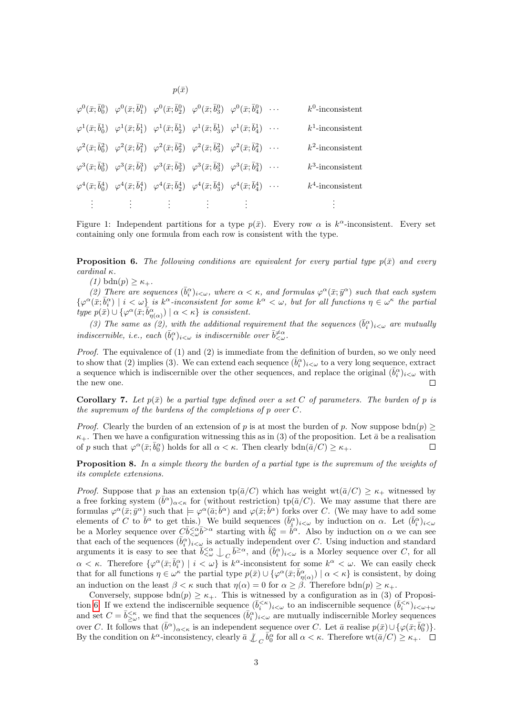$\varphi^0(\bar{x}; \bar{b}_0^0)$   $\varphi^0(\bar{x}; \bar{b}_1^0)$   $\varphi^0(\bar{x}; \bar{b}_2^0)$   $\varphi^0(\bar{x}; \bar{b}_3^0)$   $\varphi^0(\bar{x}; \bar{b}_4^0)$  $\varphi^1(\bar{x}; \bar{b}_0^1)$   $\varphi^1(\bar{x}; \bar{b}_1^1)$   $\varphi^1(\bar{x}; \bar{b}_2^1)$   $\varphi^1(\bar{x}; \bar{b}_3^1)$   $\varphi^1(\bar{x}; \bar{b}_4^1)$  $\varphi^2(\bar{x}; \bar{b}_0^2)$   $\varphi^2(\bar{x}; \bar{b}_1^2)$   $\varphi^2(\bar{x}; \bar{b}_2^2)$   $\varphi^2(\bar{x}; \bar{b}_3^2)$   $\varphi^2(\bar{x}; \bar{b}_4^2)$  $\varphi^3(\bar{x}; \bar{b}_0^3)$   $\varphi^3(\bar{x}; \bar{b}_1^3)$   $\varphi^3(\bar{x}; \bar{b}_2^3)$   $\varphi^3(\bar{x}; \bar{b}_3^3)$   $\varphi^3(\bar{x}; \bar{b}_4^3)$  $\varphi^4(\bar{x}; \bar{b}_0^4) \quad \varphi^4(\bar{x}; \bar{b}_1^4) \quad \varphi^4(\bar{x}; \bar{b}_2^4) \quad \varphi^4(\bar{x}; \bar{b}_3^4) \quad \varphi^4(\bar{x}; \bar{b}_4^4)$  $\cdots$   $k^0$ -inconsistent  $\cdots$   $k^1$ -inconsistent  $\cdots$   $k^2$ -inconsistent  $\cdots$   $k^3$ -inconsistent  $\cdots$   $k^4$ -inconsistent . . . . . . . . .  $\vdots$  : . . .

 $p(\bar{x})$ 

Figure 1: Independent partitions for a type  $p(\bar{x})$ . Every row  $\alpha$  is  $k^{\alpha}$ -inconsistent. Every set containing only one formula from each row is consistent with the type.

**Proposition 6.** The following conditions are equivalent for every partial type  $p(\bar{x})$  and every cardinal κ.

(1) bdn(p)  $\geq \kappa_{+}$ .

(2) There are sequences  $(\bar{b}_i^{\alpha})_{i<\omega}$ , where  $\alpha < \kappa$ , and formulas  $\varphi^{\alpha}(\bar{x}; \bar{y}^{\alpha})$  such that each system  $\{\varphi^{\alpha}(\bar{x};\bar{b}^{\alpha}_i)\mid i<\omega\}\$ is k<sup>a</sup>-inconsistent for some k<sup>a</sup>  $<\omega$ , but for all functions  $\eta\in\omega^{\kappa}$  the partial type  $p(\bar{x}) \cup \{ \varphi^{\alpha}(\bar{x}; \bar{b}^{\alpha}_{\eta(\alpha)}) \mid \alpha < \kappa \}$  is consistent.

(3) The same as (2), with the additional requirement that the sequences  $(\bar{b}_i^{\alpha})_{i<\omega}$  are mutually indiscernible, i.e., each  $(\bar{b}_i^{\alpha})_{i<\omega}$  is indiscernible over  $\bar{b}^{\neq \alpha}_{\leq \omega}$ .

*Proof.* The equivalence of  $(1)$  and  $(2)$  is immediate from the definition of burden, so we only need to show that (2) implies (3). We can extend each sequence  $(\bar{b}_i^{\alpha})_{i<\omega}$  to a very long sequence, extract a sequence which is indiscernible over the other sequences, and replace the original  $(\bar{b}_i^{\alpha})_{i<\omega}$  with the new one.  $\Box$ 

**Corollary 7.** Let  $p(\bar{x})$  be a partial type defined over a set C of parameters. The burden of p is the supremum of the burdens of the completions of p over C.

*Proof.* Clearly the burden of an extension of p is at most the burden of p. Now suppose  $\text{bdn}(p)$  $\kappa_+$ . Then we have a configuration witnessing this as in (3) of the proposition. Let  $\bar{a}$  be a realisation of p such that  $\varphi^{\alpha}(\bar{x}; \bar{b}_0^{\alpha})$  holds for all  $\alpha < \kappa$ . Then clearly  $\text{bdn}(\bar{a}/C) \geq \kappa_+$ .  $\Box$ 

Proposition 8. In a simple theory the burden of a partial type is the supremum of the weights of its complete extensions.

*Proof.* Suppose that p has an extension  $\text{tp}(\bar{a}/C)$  which has weight  $\text{wt}(\bar{a}/C) \geq \kappa_+$  witnessed by a free forking system  $(\bar{b}^{\alpha})_{\alpha<\kappa}$  for (without restriction) tp( $\bar{a}/C$ ). We may assume that there are formulas  $\varphi^{\alpha}(\bar{x}; \bar{y}^{\alpha})$  such that  $\models \varphi^{\alpha}(\bar{a}; \bar{b}^{\alpha})$  and  $\varphi(\bar{x}; \bar{b}^{\alpha})$  forks over C. (We may have to add some elements of C to  $\bar{b}^{\alpha}$  to get this.) We build sequences  $(\bar{b}_{i}^{\alpha})_{i<\omega}$  by induction on  $\alpha$ . Let  $(\bar{b}_{i}^{\alpha})_{i<\omega}$ be a Morley sequence over  $C\bar{b} < \bar{\omega} < \bar{b} < \alpha$  starting with  $\bar{b}^{\alpha}_{0} = \bar{b}^{\alpha}$ . Also by induction on  $\alpha$  we can see that each of the sequences  $(\bar{b}_i^{\alpha})_{i\leq \omega}$  is actually independent over C. Using induction and standard arguments it is easy to see that  $\bar{b} \leq \alpha \atop{0}$ ,  $\bar{b} \geq \alpha$ , and  $(\bar{b}_i^{\alpha})_{i \leq \omega}$  is a Morley sequence over C, for all  $\alpha < \kappa$ . Therefore  $\{\varphi^{\alpha}(\bar{x}; \bar{b}_i^{\alpha}) \mid i < \omega\}$  is  $k^{\alpha}$ -inconsistent for some  $k^{\alpha} < \omega$ . We can easily check that for all functions  $\eta \in \omega^{\kappa}$  the partial type  $p(\bar{x}) \cup \{ \varphi^{\alpha}(\bar{x}; \bar{b}^{\alpha}_{\eta(\alpha)}) \mid \alpha < \kappa \}$  is consistent, by doing an induction on the least  $\beta < \kappa$  such that  $\eta(\alpha) = 0$  for  $\alpha \geq \beta$ . Therefore  $\text{bdn}(p) \geq \kappa_+$ .

Conversely, suppose  $\text{bdn}(p) \geq \kappa_+$ . This is witnessed by a configuration as in (3) of Proposi-tion [6.](#page-1-0) If we extend the indiscernible sequence  $(\bar{b}_i^{<\kappa})_{i<\omega}$  to an indiscernible sequence  $(\bar{b}_i^{<\kappa})_{i<\omega+\omega}$ and set  $C = \bar{b}_{\geq \omega}^{<\kappa}$ , we find that the sequences  $(\bar{b}_{i}^{\alpha})_{i<\omega}$  are mutually indiscernible Morley sequences over C. It follows that  $(\bar{b}^{\alpha})_{\alpha<\kappa}$  is an independent sequence over C. Let  $\bar{a}$  realise  $p(\bar{x})\cup\{\varphi(\bar{x};\bar{b}^{\alpha}_{0})\}.$ By the condition on  $k^{\alpha}$ -inconsistency, clearly  $\bar{a} \not\perp_C \bar{b}_0^{\alpha}$  for all  $\alpha < \kappa$ . Therefore  $\text{wt}(\bar{a}/C) \geq \kappa_+$ .

3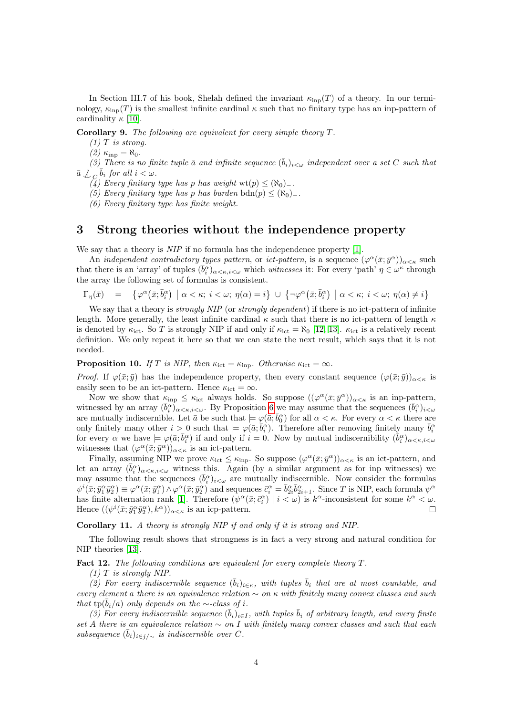In Section III.7 of his book, Shelah defined the invariant  $\kappa_{\text{inp}}(T)$  of a theory. In our terminology,  $\kappa_{\text{inn}}(T)$  is the smallest infinite cardinal  $\kappa$  such that no finitary type has an inp-pattern of cardinality  $\kappa$  [\[10\]](#page-7-4).

Corollary 9. The following are equivalent for every simple theory T.

 $(1)$  T is strong.

(2)  $\kappa_{\rm inp} = \aleph_0$ .

(3) There is no finite tuple  $\bar{a}$  and infinite sequence  $(\bar{b}_i)_{i<\omega}$  independent over a set C such that  $\bar{a} \perp \bigcup_{C} \bar{b}_i$  for all  $i < \omega$ .

 $(4)$  Every finitary type has p has weight wt $(p) \leq (\aleph_0)_-.$ 

(5) Every finitary type has p has burden bdn(p)  $\leq (\aleph_0)_-$ .

(6) Every finitary type has finite weight.

#### 3 Strong theories without the independence property

We say that a theory is  $NIP$  if no formula has the independence property [\[1\]](#page-6-0).

An *independent contradictory types pattern*, or *ict-pattern*, is a sequence  $(\varphi^{\alpha}(\bar{x}; \bar{y}^{\alpha}))_{\alpha<\kappa}$  such that there is an 'array' of tuples  $(\bar{b}_i^{\alpha})_{\alpha<\kappa,i<\omega}$  which witnesses it: For every 'path'  $\eta\in\omega^{\kappa}$  through the array the following set of formulas is consistent.

$$
\Gamma_\eta(\bar x) \quad = \quad \left\{ \varphi^\alpha\big(\bar x;\bar b^\alpha_i\big) \ \left| \ \alpha<\kappa; \ i<\omega; \ \eta(\alpha)=i \right. \right\} \ \cup \ \left\{ \neg \varphi^\alpha\big(\bar x;\bar b^\alpha_i\big) \ \left| \ \alpha<\kappa; \ i<\omega; \ \eta(\alpha)\neq i \right. \right\}
$$

We say that a theory is *strongly NIP* (or *strongly dependent*) if there is no ict-pattern of infinite length. More generally, the least infinite cardinal  $\kappa$  such that there is no ict-pattern of length  $\kappa$ is denoted by  $\kappa_{\text{ict}}$ . So T is strongly NIP if and only if  $\kappa_{\text{ict}} = \aleph_0$  [\[12,](#page-7-5) [13\]](#page-7-6).  $\kappa_{\text{ict}}$  is a relatively recent definition. We only repeat it here so that we can state the next result, which says that it is not needed.

**Proposition 10.** If T is NIP, then  $\kappa_{\text{ict}} = \kappa_{\text{inp}}$ . Otherwise  $\kappa_{\text{ict}} = \infty$ .

*Proof.* If  $\varphi(\bar{x}; \bar{y})$  has the independence property, then every constant sequence  $(\varphi(\bar{x}; \bar{y}))_{\alpha < \kappa}$  is easily seen to be an ict-pattern. Hence  $\kappa_{\text{ict}} = \infty$ .

Now we show that  $\kappa_{\text{inp}} \leq \kappa_{\text{ict}}$  always holds. So suppose  $((\varphi^{\alpha}(\bar{x}; \bar{y}^{\alpha}))_{\alpha < \kappa}$  is an inp-pattern, witnessed by an array  $(\bar{b}_i^{\alpha})_{\alpha<\kappa,i<\omega}$ . By Proposition [6](#page-1-0) we may assume that the sequences  $(\bar{b}_i^{\alpha})_{i<\omega}$ are mutually indiscernible. Let  $\bar{a}$  be such that  $\models \varphi(\bar{a}; \bar{b}_0^{\alpha})$  for all  $\alpha < \kappa$ . For every  $\alpha < \kappa$  there are only finitely many other  $i > 0$  such that  $\models \varphi(\bar{a}; \bar{b}_i^{\alpha})$ . Therefore after removing finitely many  $\bar{b}_i^{\alpha}$ for every  $\alpha$  we have  $\models \varphi(\bar{a}; \bar{b}_i^{\alpha})$  if and only if  $i = 0$ . Now by mutual indiscernibility  $(\bar{b}_i^{\alpha})_{\alpha < \kappa, i < \omega}$ witnesses that  $(\varphi^{\alpha}(\bar{x}; \bar{y}^{\alpha}))_{\alpha < \kappa}$  is an ict-pattern.

Finally, assuming NIP we prove  $\kappa_{\rm{ict}} \leq \kappa_{\rm{inp}}$ . So suppose  $(\varphi^{\alpha}(\bar{x}; \bar{y}^{\alpha}))_{\alpha < \kappa}$  is an ict-pattern, and let an array  $(\bar{b}_i^{\alpha})_{\alpha<\kappa,i<\omega}$  witness this. Again (by a similar argument as for inp witnesses) we may assume that the sequences  $(\bar{b}_i^{\alpha})_{i<\omega}$  are mutually indiscernible. Now consider the formulas  $\psi^i(\bar{x}; \bar{y}_1^{\alpha} \bar{y}_2^{\alpha}) \equiv \varphi^{\alpha}(\bar{x}; \bar{y}_1^{\alpha}) \wedge \varphi^{\alpha}(\bar{x}; \bar{y}_2^{\alpha})$  and sequences  $\bar{c}_i^{\alpha} = \bar{b}_{2i}^{\alpha} \bar{b}_{2i+1}^{\alpha}$ . Since T is NIP, each formula  $\psi^{\alpha}$ has finite alternation rank [\[1\]](#page-6-0). Therefore  $(\psi^{\alpha}(\bar{x}; \bar{c}_i^{\alpha}) \mid i < \omega)$  is  $k^{\alpha}$ -inconsistent for some  $k^{\alpha} < \omega$ . Hence  $((\psi^i(\bar{x}; \bar{y}_1^{\alpha} \bar{y}_2^{\alpha}), k^{\alpha}))_{\alpha < \kappa}$  is an icp-pattern.  $\Box$ 

Corollary 11. A theory is strongly NIP if and only if it is strong and NIP.

The following result shows that strongness is in fact a very strong and natural condition for NIP theories [\[13\]](#page-7-6).

Fact 12. The following conditions are equivalent for every complete theory  $T$ .

 $(1)$  T is strongly NIP.

(2) For every indiscernible sequence  $(\bar{b}_i)_{i \in \kappa}$ , with tuples  $\bar{b}_i$  that are at most countable, and every element a there is an equivalence relation  $\sim$  on  $\kappa$  with finitely many convex classes and such that tp( $\bar{b}_i/a$ ) only depends on the ∼-class of i.

(3) For every indiscernible sequence  $(\bar{b}_i)_{i\in I}$ , with tuples  $\bar{b}_i$  of arbitrary length, and every finite set A there is an equivalence relation  $\sim$  on I with finitely many convex classes and such that each subsequence  $(\bar{b}_i)_{i\in j/\sim}$  is indiscernible over C.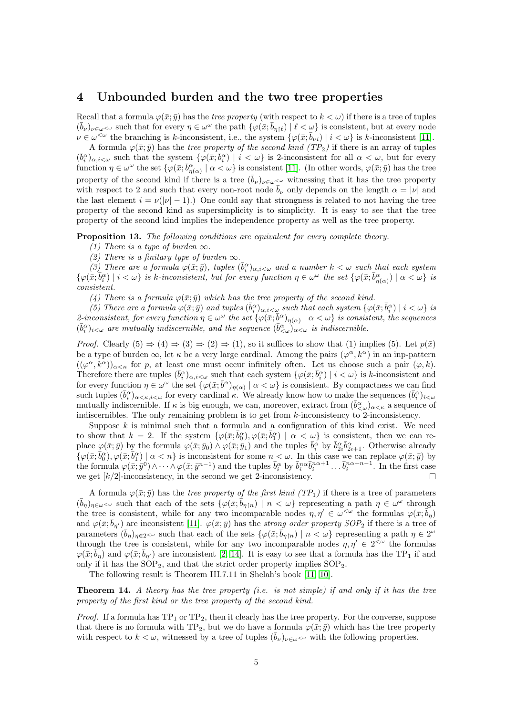#### 4 Unbounded burden and the two tree properties

Recall that a formula  $\varphi(\bar{x}; \bar{y})$  has the *tree property* (with respect to  $k < \omega$ ) if there is a tree of tuples  $(\bar{b}_{\nu})_{\nu\in\omega<\omega}$  such that for every  $\eta\in\omega^{\omega}$  the path  $\{\varphi(\bar{x};\bar{b}_{\eta\restriction\ell})\mid \ell<\omega\}$  is consistent, but at every node  $\nu \in \omega^{\leq \omega}$  the branching is k-inconsistent, i.e., the system  $\{\varphi(\bar{x}; \bar{b}_{\nu i}) \mid i \lt \omega\}$  is k-inconsistent [\[11\]](#page-7-7).

A formula  $\varphi(\bar{x}; \bar{y})$  has the tree property of the second kind (TP<sub>2</sub>) if there is an array of tuples  $(\bar{b}_i^{\alpha})_{\alpha,i\leq \omega}$  such that the system  $\{\varphi(\bar{x}; \bar{b}_i^{\alpha}) \mid i \leq \omega\}$  is 2-inconsistent for all  $\alpha < \omega$ , but for every function  $\eta \in \omega^{\omega}$  the set  $\{\varphi(\bar{x}; \bar{b}^{\alpha}_{\eta(\alpha)} \mid \alpha < \omega\}$  is consistent [\[11\]](#page-7-7). (In other words,  $\varphi(\bar{x}; \bar{y})$  has the tree property of the second kind if there is a tree  $(\bar{b}_{\nu})_{\nu\in\omega}<sup>\omega</sup>$  witnessing that it has the tree property with respect to 2 and such that every non-root node  $\bar{b}_{\nu}$  only depends on the length  $\alpha = |\nu|$  and the last element  $i = \nu(|\nu| - 1)$ .) One could say that strongness is related to not having the tree property of the second kind as supersimplicity is to simplicity. It is easy to see that the tree property of the second kind implies the independence property as well as the tree property.

<span id="page-4-0"></span>Proposition 13. The following conditions are equivalent for every complete theory.

(1) There is a type of burden  $\infty$ .

(2) There is a finitary type of burden  $\infty$ .

(3) There are a formula  $\varphi(\bar{x}; \bar{y})$ , tuples  $(\bar{b}_i^{\alpha})_{\alpha, i < \omega}$  and a number  $k < \omega$  such that each system  $\{\varphi(\bar{x};\bar{b}^{\alpha}_i) \mid i < \omega\}$  is k-inconsistent, but for every function  $\eta \in \omega^{\omega}$  the set  $\{\varphi(\bar{x};\bar{b}^{\alpha}_{\eta(\alpha)}) \mid \alpha < \omega\}$  is consistent.

(4) There is a formula  $\varphi(\bar{x}; \bar{y})$  which has the tree property of the second kind.

(5) There are a formula  $\varphi(\bar{x}; \bar{y})$  and tuples  $(\bar{b}_i^{\alpha})_{\alpha, i \leq \omega}$  such that each system  $\{\varphi(\bar{x}; \bar{b}_i^{\alpha}) \mid i \leq \omega\}$  is 2-inconsistent, for every function  $\eta \in \omega^\omega$  the set  $\{\varphi(\bar{x};\bar{b}^{\alpha})_{\eta(\alpha)} \mid \alpha < \omega\}$  is consistent, the sequences  $(\bar{b}_i^{\alpha})_{i<\omega}$  are mutually indiscernible, and the sequence  $(\bar{b}_{<\omega}^{\alpha})_{\alpha<\omega}$  is indiscernible.

*Proof.* Clearly  $(5) \Rightarrow (4) \Rightarrow (3) \Rightarrow (2) \Rightarrow (1)$ , so it suffices to show that  $(1)$  implies  $(5)$ . Let  $p(\bar{x})$ be a type of burden  $\infty$ , let  $\kappa$  be a very large cardinal. Among the pairs  $(\varphi^{\alpha}, k^{\alpha})$  in an inp-pattern  $((\varphi^{\alpha}, k^{\alpha}))_{\alpha<\kappa}$  for p, at least one must occur infinitely often. Let us choose such a pair  $(\varphi, k)$ . Therefore there are tuples  $(\bar{b}_i^{\alpha})_{\alpha,i<\omega}$  such that each system  $\{\varphi(\bar{x}; \bar{b}_i^{\alpha}) \mid i<\omega\}$  is k-inconsistent and for every function  $\eta \in \omega^{\omega}$  the set  $\{\varphi(\bar{x}; \bar{b}^{\alpha})_{\eta(\alpha)} \mid \alpha < \omega\}$  is consistent. By compactness we can find such tuples  $(\bar{b}_i^{\alpha})_{\alpha<\kappa,i<\omega}$  for every cardinal  $\kappa$ . We already know how to make the sequences  $(\bar{b}_i^{\alpha})_{i<\omega}$ mutually indiscernible. If  $\kappa$  is big enough, we can, moreover, extract from  $(\bar{b}_{\langle\omega\rangle})_{\alpha<\kappa}$  a sequence of indiscernibles. The only remaining problem is to get from k-inconsistency to 2-inconsistency.

Suppose  $k$  is minimal such that a formula and a configuration of this kind exist. We need to show that  $k = 2$ . If the system  $\{\varphi(\bar{x}; \bar{b}_0^{\alpha}), \varphi(\bar{x}; \bar{b}_1^{\alpha}) \mid \alpha < \omega\}$  is consistent, then we can replace  $\varphi(\bar{x}; \bar{y})$  by the formula  $\varphi(\bar{x}; \bar{y}_0) \wedge \varphi(\bar{x}; \bar{y}_1)$  and the tuples  $\bar{b}_i^{\alpha}$  by  $\bar{b}_2^{\alpha} \bar{b}_{2i+1}^{\alpha}$ . Otherwise already  $\{\varphi(\bar{x};\bar{b}_0^\alpha),\varphi(\bar{x};\bar{b}_1^\alpha)\mid \alpha < n\}$  is inconsistent for some  $n < \omega$ . In this case we can replace  $\varphi(\bar{x};\bar{y})$  by the formula  $\varphi(\bar{x}; \bar{y}^0) \wedge \cdots \wedge \varphi(\bar{x}; \bar{y}^{n-1})$  and the tuples  $\bar{b}_i^{\alpha}$  by  $\bar{b}_i^{n\alpha} \bar{b}_i^{n\alpha+1} \dots \bar{b}_i^{n\alpha+n-1}$ . In the first case we get  $\lfloor k/2 \rfloor$ -inconsistency, in the second we get 2-inconsistency.  $\Box$ 

A formula  $\varphi(\bar{x}; \bar{y})$  has the *tree property of the first kind (TP<sub>1</sub>)* if there is a tree of parameters  $(\bar{b}_{\eta})_{\eta \in \omega}$  such that each of the sets  $\{\varphi(\bar{x}; \bar{b}_{\eta \upharpoonright n}) \mid n < \omega\}$  representing a path  $\eta \in \omega^{\omega}$  through the tree is consistent, while for any two incomparable nodes  $\eta, \eta' \in \omega^{\leq \omega}$  the formulas  $\varphi(\bar{x}; \bar{b}_{\eta})$ and  $\varphi(\bar{x}; \bar{b}_{\eta'})$  are inconsistent [\[11\]](#page-7-7).  $\varphi(\bar{x}; \bar{y})$  has the *strong order property SOP*<sub>2</sub> if there is a tree of parameters  $(\bar{b}_{\eta})_{\eta \in 2<\omega}$  such that each of the sets  $\{\varphi(\bar{x}; \bar{b}_{\eta \upharpoonright n}) \mid n < \omega\}$  representing a path  $\eta \in 2^{\omega}$ through the tree is consistent, while for any two incomparable nodes  $\eta, \eta' \in 2^{\leq \omega}$  the formulas  $\varphi(\bar{x}; \bar{b}_\eta)$  and  $\varphi(\bar{x}; \bar{b}_{\eta'})$  are inconsistent [\[2,](#page-6-1) [14\]](#page-7-8). It is easy to see that a formula has the TP<sub>1</sub> if and only if it has the  $SOP_2$ , and that the strict order property implies  $SOP_2$ .

The following result is Theorem III.7.11 in Shelah's book [\[11,](#page-7-7) [10\]](#page-7-4).

**Theorem 14.** A theory has the tree property (i.e. is not simple) if and only if it has the tree property of the first kind or the tree property of the second kind.

*Proof.* If a formula has  $TP_1$  or  $TP_2$ , then it clearly has the tree property. For the converse, suppose that there is no formula with TP<sub>2</sub>, but we do have a formula  $\varphi(\bar{x}; \bar{y})$  which has the tree property with respect to  $k < \omega$ , witnessed by a tree of tuples  $(b_{\nu})_{\nu \in \omega \leq \omega}$  with the following properties.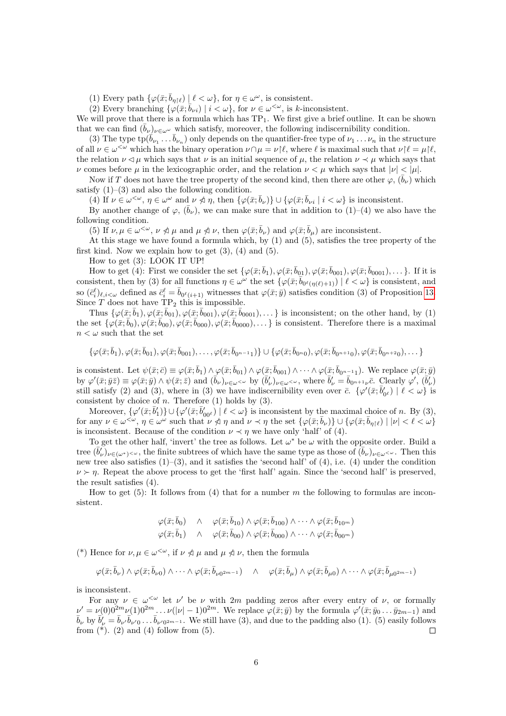(1) Every path  $\{\varphi(\bar{x}; \bar{b}_{\eta \restriction \ell}) \mid \ell < \omega\}$ , for  $\eta \in \omega^\omega$ , is consistent.

(2) Every branching  $\{\varphi(\bar{x}; \bar{b}_{\nu i}) \mid i \leq \omega\}$ , for  $\nu \in \omega^{\leq \omega}$ , is k-inconsistent.

We will prove that there is a formula which has  $TP_1$ . We first give a brief outline. It can be shown that we can find  $(\bar{b}_{\nu})_{\nu\in\omega^{\omega}}$  which satisfy, moreover, the following indiscernibility condition.

(3) The type  $tp(\vec{b}_{\nu_1} \ldots \vec{b}_{\nu_n})$  only depends on the quantifier-free type of  $\nu_1 \ldots \nu_n$  in the structure of all  $\nu \in \omega^{\leq \omega}$  which has the binary operation  $\nu \cap \mu = \nu \upharpoonright \ell$ , where  $\ell$  is maximal such that  $\nu \upharpoonright \ell = \mu \upharpoonright \ell$ , the relation  $\nu \lhd \mu$  which says that  $\nu$  is an initial sequence of  $\mu$ , the relation  $\nu \lhd \mu$  which says that ν comes before μ in the lexicographic order, and the relation  $\nu < \mu$  which says that  $|\nu| < |\mu|$ .

Now if T does not have the tree property of the second kind, then there are other  $\varphi$ ,  $(\bar{b}_{\nu})$  which satisfy  $(1)$ – $(3)$  and also the following condition.

(4) If  $\nu \in \omega^{\leq \omega}$ ,  $\eta \in \omega^{\omega}$  and  $\nu \nless \eta$ , then  $\{\varphi(\bar{x}; \bar{b}_{\nu})\} \cup \{\varphi(\bar{x}; \bar{b}_{\nu i} \mid i \leq \omega\})$  is inconsistent.

By another change of  $\varphi$ ,  $(\bar{b}_{\nu})$ , we can make sure that in addition to (1)–(4) we also have the following condition.

(5) If  $\nu, \mu \in \omega^{\langle \omega \rangle}, \nu \nless \mu$  and  $\mu \nless \nu$ , then  $\varphi(\bar{x}; \bar{b}_{\nu})$  and  $\varphi(\bar{x}; \bar{b}_{\mu})$  are inconsistent.

At this stage we have found a formula which, by (1) and (5), satisfies the tree property of the first kind. Now we explain how to get  $(3)$ ,  $(4)$  and  $(5)$ .

How to get (3): LOOK IT UP!

How to get (4): First we consider the set  $\{\varphi(\bar{x}; \bar{b}_1), \varphi(\bar{x}; \bar{b}_{01}), \varphi(\bar{x}; \bar{b}_{001}), \varphi(\bar{x}; \bar{b}_{0001}), \dots\}$ . If it is consistent, then by (3) for all functions  $\eta \in \omega^{\omega}$  the set  $\{\varphi(\bar{x}; \bar{b}_{0^{\ell}(\eta(\ell)+1)}) \mid \ell < \omega\}$  is consistent, and so  $(\bar{c}_i^{\ell})_{\ell,i\lt\omega}$  defined as  $\bar{c}_i^{\ell} = \bar{b}_{0^{\ell}(i+1)}$  witnesses that  $\varphi(\bar{x}; \bar{y})$  satisfies condition (3) of Proposition [13.](#page-4-0) Since  $\overline{T}$  does not have  $\overline{TP}_2$  this is impossible.

Thus  $\{\varphi(\bar{x}; \bar{b}_1), \varphi(\bar{x}; \bar{b}_{01}), \varphi(\bar{x}; \bar{b}_{001}), \varphi(\bar{x}; \bar{b}_{0001}), \dots\}$  is inconsistent; on the other hand, by (1) the set  $\{\varphi(\bar{x}; \bar{b}_0), \varphi(\bar{x}; \bar{b}_{00}), \varphi(\bar{x}; \bar{b}_{000}), \varphi(\bar{x}; \bar{b}_{0000}), \dots\}$  is consistent. Therefore there is a maximal  $n < \omega$  such that the set

$$
\{\varphi(\bar{x}; \bar{b}_1), \varphi(\bar{x}; \bar{b}_{01}), \varphi(\bar{x}; \bar{b}_{001}), \ldots, \varphi(\bar{x}; \bar{b}_{0^{n-1}1})\} \cup \{\varphi(\bar{x}; \bar{b}_{0^n0}), \varphi(\bar{x}; \bar{b}_{0^{n+1}0}), \varphi(\bar{x}; \bar{b}_{0^{n+2}0}), \ldots\}
$$

is consistent. Let  $\psi(\bar{x}; \bar{c}) \equiv \varphi(\bar{x}; \bar{b}_1) \wedge \varphi(\bar{x}; \bar{b}_{01}) \wedge \varphi(\bar{x}; \bar{b}_{001}) \wedge \cdots \wedge \varphi(\bar{x}; \bar{b}_{0^{n-1}1})$ . We replace  $\varphi(\bar{x}; \bar{y})$ by  $\varphi'(\bar{x}; \bar{y}\bar{z}) \equiv \varphi(\bar{x}; \bar{y}) \wedge \psi(\bar{x}; \bar{z})$  and  $(\bar{b}_{\nu})_{\nu \in \omega < \omega}$  by  $(\bar{b}_{\nu}')_{\nu \in \omega < \omega}$ , where  $\bar{b}_{\nu}' = \bar{b}_{0^{n+1}\nu}\bar{c}$ . Clearly  $\varphi', (\bar{b}_{\nu}')$ still satisfy (2) and (3), where in (3) we have indiscernibility even over  $\bar{c}$ .  $\{\varphi'(\bar{x}; \bar{b}'_{0^{\ell}}) \mid \ell < \omega\}$  is consistent by choice of  $n$ . Therefore (1) holds by (3).

Moreover,  $\{\varphi'(\bar{x}; \bar{b}'_1)\} \cup \{\varphi'(\bar{x}; \bar{b}'_{00^\ell}) \mid \ell < \omega\}$  is inconsistent by the maximal choice of n. By (3), for any  $\nu \in \omega^{\leq \omega}$ ,  $\eta \in \omega^{\omega}$  such that  $\nu \nless \eta$  and  $\nu \prec \eta$  the set  $\{\varphi(\bar{x}; \bar{b}_{\nu})\} \cup \{\varphi(\bar{x}; \bar{b}_{\eta \upharpoonright \ell}) \mid |\nu| < \ell < \omega\}$ is inconsistent. Because of the condition  $\nu \prec \eta$  we have only 'half' of (4).

To get the other half, 'invert' the tree as follows. Let  $\omega^*$  be  $\omega$  with the opposite order. Build a tree  $(\bar{b}'_{\nu})_{\nu \in (\omega^*)^{\leq \omega}}$ , the finite subtrees of which have the same type as those of  $(\bar{b}_{\nu})_{\nu \in \omega^{\leq \omega}}$ . Then this new tree also satisfies  $(1)$ –(3), and it satisfies the 'second half' of (4), i.e. (4) under the condition  $\nu \succ n$ . Repeat the above process to get the 'first half' again. Since the 'second half' is preserved, the result satisfies (4).

How to get (5): It follows from (4) that for a number m the following to formulas are inconsistent.

$$
\varphi(\bar{x}; \bar{b}_0) \wedge \varphi(\bar{x}; \bar{b}_{10}) \wedge \varphi(\bar{x}; \bar{b}_{100}) \wedge \cdots \wedge \varphi(\bar{x}; \bar{b}_{10^m}) \n\varphi(\bar{x}; \bar{b}_1) \wedge \varphi(\bar{x}; \bar{b}_{00}) \wedge \varphi(\bar{x}; \bar{b}_{000}) \wedge \cdots \wedge \varphi(\bar{x}; \bar{b}_{00^m})
$$

(\*) Hence for  $\nu, \mu \in \omega^{\leq \omega}$ , if  $\nu \nless \mu$  and  $\mu \nless \nu$ , then the formula

$$
\varphi(\bar{x}; \bar{b}_{\nu}) \wedge \varphi(\bar{x}; \bar{b}_{\nu 0}) \wedge \cdots \wedge \varphi(\bar{x}; \bar{b}_{\nu 0^{2m-1}}) \quad \wedge \quad \varphi(\bar{x}; \bar{b}_{\mu}) \wedge \varphi(\bar{x}; \bar{b}_{\mu 0}) \wedge \cdots \wedge \varphi(\bar{x}; \bar{b}_{\mu 0^{2m-1}})
$$

is inconsistent.

For any  $\nu \in \omega^{\leq \omega}$  let  $\nu'$  be  $\nu$  with  $2m$  padding zeros after every entry of  $\nu$ , or formally  $\nu' = \nu(0)0^{2m}\nu(1)0^{2m}\ldots\nu(|\nu|-1)0^{2m}$ . We replace  $\varphi(\bar{x};\bar{y})$  by the formula  $\varphi'(\bar{x};\bar{y}_0\ldots\bar{y}_{2m-1})$  and  $\bar{b}_{\nu}$  by  $\bar{b}'_{\nu} = \bar{b}_{\nu'} \bar{b}_{\nu'0} \dots \bar{b}_{\nu'0^{2m-1}}$ . We still have (3), and due to the padding also (1). (5) easily follows from  $(*)$ . (2) and (4) follow from (5).  $\Box$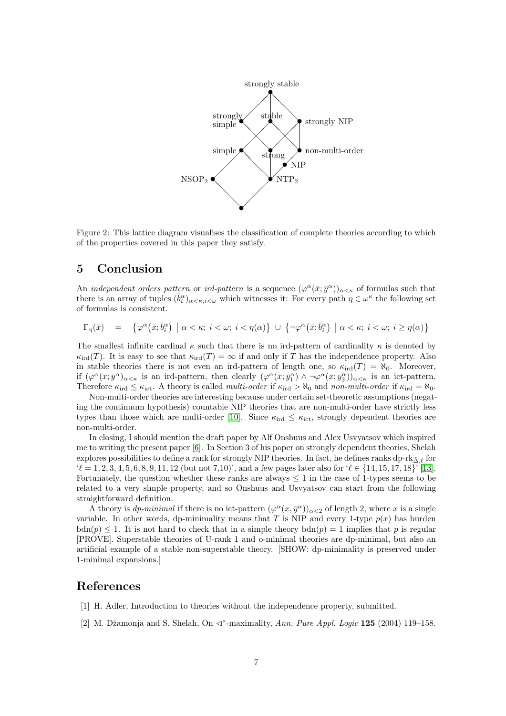

Figure 2: This lattice diagram visualises the classification of complete theories according to which of the properties covered in this paper they satisfy.

### 5 Conclusion

An *independent orders pattern* or *ird-pattern* is a sequence  $(\varphi^{\alpha}(\bar{x}; \bar{y}^{\alpha}))_{\alpha < \kappa}$  of formulas such that there is an array of tuples  $(\bar{b}_i^{\alpha})_{\alpha<\kappa,i<\omega}$  which witnesses it: For every path  $\eta\in\omega^{\kappa}$  the following set of formulas is consistent.

$$
\Gamma_\eta(\bar x) \quad = \quad \left\{ \varphi^\alpha\big(\bar x;\bar b^\alpha_i\big) \; \left| \; \alpha<\kappa; \; i<\omega; \; i<\eta(\alpha) \right. \right\} \; \cup \; \left\{ \neg \varphi^\alpha\big(\bar x;\bar b^\alpha_i\big) \; \left| \; \alpha<\kappa; \; i<\omega; \; i\geq \eta(\alpha) \right. \right\}
$$

The smallest infinite cardinal  $\kappa$  such that there is no ird-pattern of cardinality  $\kappa$  is denoted by  $\kappa_{\text{ird}}(T)$ . It is easy to see that  $\kappa_{\text{ird}}(T) = \infty$  if and only if T has the independence property. Also in stable theories there is not even an ird-pattern of length one, so  $\kappa_{\text{ird}}(T) = \aleph_0$ . Moreover, if  $(\varphi^{\alpha}(\bar{x}; \bar{y}^{\alpha})_{\alpha<\kappa}$  is an ird-pattern, then clearly  $(\varphi^{\alpha}(\bar{x}; \bar{y}^{\alpha}) \wedge \neg \varphi^{\alpha}(\bar{x}; \bar{y}^{\alpha})_{\alpha<\kappa}$  is an ict-pattern. Therefore  $\kappa_{\text{ird}} \leq \kappa_{\text{ict}}$ . A theory is called multi-order if  $\kappa_{\text{ird}} > \aleph_0$  and non-multi-order if  $\kappa_{\text{ird}} = \aleph_0$ .

Non-multi-order theories are interesting because under certain set-theoretic assumptions (negating the continuum hypothesis) countable NIP theories that are non-multi-order have strictly less types than those which are multi-order [\[10\]](#page-7-4). Since  $\kappa_{\text{ird}} \leq \kappa_{\text{ict}}$ , strongly dependent theories are non-multi-order.

In closing, I should mention the draft paper by Alf Onshuus and Alex Usvyatsov which inspired me to writing the present paper [\[6\]](#page-7-9). In Section 3 of his paper on strongly dependent theories, Shelah explores possibilities to define a rank for strongly NIP theories. In fact, he defines ranks dp-rk $_{\bar{\Delta},\ell}$  for  $\ell' = 1, 2, 3, 4, 5, 6, 8, 9, 11, 12$  (but not 7,10)', and a few pages later also for  $\ell \in \{14, 15, 17, 18\}'$  [\[13\]](#page-7-6). Fortunately, the question whether these ranks are always  $\leq 1$  in the case of 1-types seems to be related to a very simple property, and so Onshuus and Usvyatsov can start from the following straightforward definition.

A theory is *dp-minimal* if there is no ict-pattern  $(\varphi^{\alpha}(x, \bar{y}^{\alpha}))_{\alpha < 2}$  of length 2, where x is a single variable. In other words, dp-minimality means that T is NIP and every 1-type  $p(x)$  has burden  $bdn(p) \leq 1$ . It is not hard to check that in a simple theory  $bdn(p) = 1$  implies that p is regular [PROVE]. Superstable theories of U-rank 1 and o-minimal theories are dp-minimal, but also an artificial example of a stable non-superstable theory. [SHOW: dp-minimality is preserved under 1-minimal expansions.]

#### References

- <span id="page-6-0"></span>[1] H. Adler, Introduction to theories without the independence property, submitted.
- <span id="page-6-1"></span>[2] M. Džamonja and S. Shelah, On  $\triangleleft^*$ -maximality, Ann. Pure Appl. Logic 125 (2004) 119–158.